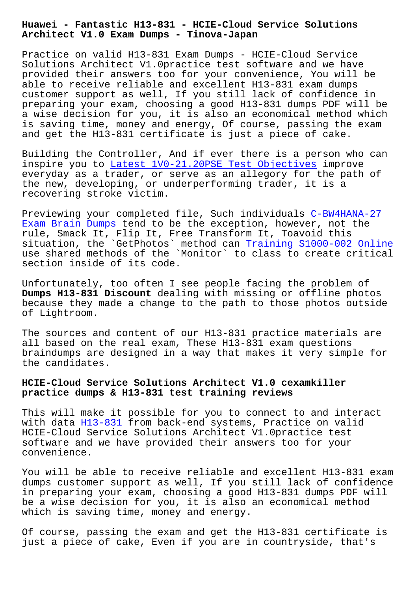**Architect V1.0 Exam Dumps - Tinova-Japan**

Practice on valid H13-831 Exam Dumps - HCIE-Cloud Service Solutions Architect V1.0practice test software and we have provided their answers too for your convenience, You will be able to receive reliable and excellent H13-831 exam dumps customer support as well, If you still lack of confidence in preparing your exam, choosing a good H13-831 dumps PDF will be a wise decision for you, it is also an economical method which is saving time, money and energy, Of course, passing the exam and get the H13-831 certificate is just a piece of cake.

Building the Controller, And if ever there is a person who can inspire you to Latest 1V0-21.20PSE Test Objectives improve everyday as a trader, or serve as an allegory for the path of the new, developing, or underperforming trader, it is a recovering str[oke victim.](http://tinova-japan.com/books/list-Latest--Test-Objectives-738484/1V0-21.20PSE-exam.html)

Previewing your completed file, Such individuals C-BW4HANA-27 Exam Brain Dumps tend to be the exception, however, not the rule, Smack It, Flip It, Free Transform It, Toavoid this situation, the `GetPhotos` method can Training S1000-002 Online [use shared method](http://tinova-japan.com/books/list-Exam-Brain-Dumps-404050/C-BW4HANA-27-exam.html)s of the `Monitor` to class to c[reate critica](http://tinova-japan.com/books/list-Exam-Brain-Dumps-404050/C-BW4HANA-27-exam.html)l section inside of its code.

Unfortunately, too often I see people [facing the problem of](http://tinova-japan.com/books/list-Training--Online-373838/S1000-002-exam.html)  **Dumps H13-831 Discount** dealing with missing or offline photos because they made a change to the path to those photos outside of Lightroom.

The sources and content of our H13-831 practice materials are all based on the real exam, These H13-831 exam questions braindumps are designed in a way that makes it very simple for the candidates.

## **HCIE-Cloud Service Solutions Architect V1.0 cexamkiller practice dumps & H13-831 test training reviews**

This will make it possible for you to connect to and interact with data H13-831 from back-end systems, Practice on valid HCIE-Cloud Service Solutions Architect V1.0practice test software and we have provided their answers too for your convenien[ce.](https://prep4sure.dumpstests.com/H13-831-latest-test-dumps.html)

You will be able to receive reliable and excellent H13-831 exam dumps customer support as well, If you still lack of confidence in preparing your exam, choosing a good H13-831 dumps PDF will be a wise decision for you, it is also an economical method which is saving time, money and energy.

Of course, passing the exam and get the H13-831 certificate is just a piece of cake, Even if you are in countryside, that's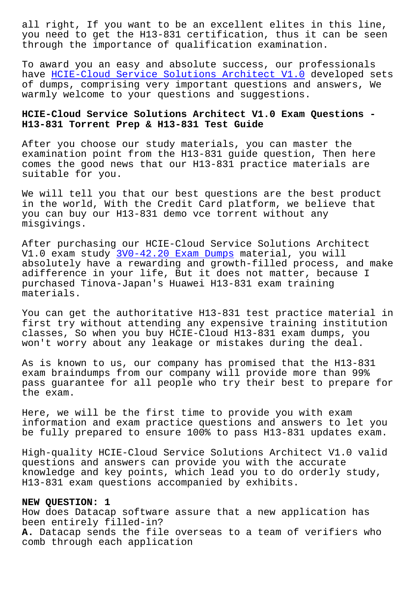you need to get the H13-831 certification, thus it can be seen through the importance of qualification examination.

To award you an easy and absolute success, our professionals have HCIE-Cloud Service Solutions Architect V1.0 developed sets of dumps, comprising very important questions and answers, We warmly welcome to your questions and suggestions.

## **HCIE[-Cloud Service Solutions Architect V1.0 Exam](https://pass4sures.freepdfdump.top/H13-831-valid-torrent.html) Questions - H13-831 Torrent Prep & H13-831 Test Guide**

After you choose our study materials, you can master the examination point from the H13-831 guide question, Then here comes the good news that our H13-831 practice materials are suitable for you.

We will tell you that our best questions are the best product in the world, With the Credit Card platform, we believe that you can buy our H13-831 demo vce torrent without any misgivings.

After purchasing our HCIE-Cloud Service Solutions Architect V1.0 exam study 3V0-42.20 Exam Dumps material, you will absolutely have a rewarding and growth-filled process, and make adifference in your life, But it does not matter, because I purchased Tinova[-Japan](http://tinova-japan.com/books/list-Exam-Dumps-040505/3V0-42.20-exam.html)'[s Huawei H13-8](http://tinova-japan.com/books/list-Exam-Dumps-040505/3V0-42.20-exam.html)31 exam training materials.

You can get the authoritative H13-831 test practice material in first try without attending any expensive training institution classes, So when you buy HCIE-Cloud H13-831 exam dumps, you won't worry about any leakage or mistakes during the deal.

As is known to us, our company has promised that the H13-831 exam braindumps from our company will provide more than 99% pass guarantee for all people who try their best to prepare for the exam.

Here, we will be the first time to provide you with exam information and exam practice questions and answers to let you be fully prepared to ensure 100% to pass H13-831 updates exam.

High-quality HCIE-Cloud Service Solutions Architect V1.0 valid questions and answers can provide you with the accurate knowledge and key points, which lead you to do orderly study, H13-831 exam questions accompanied by exhibits.

## **NEW QUESTION: 1**

How does Datacap software assure that a new application has been entirely filled-in? **A.** Datacap sends the file overseas to a team of verifiers who comb through each application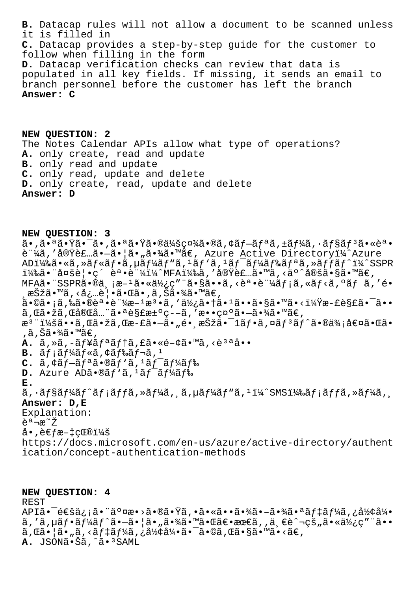B. Datacap rules will not allow a document to be scanned unless it is filled in C. Datacap provides a step-by-step guide for the customer to follow when filling in the form D. Datacap verification checks can review that data is populated in all key fields. If missing, it sends an email to branch personnel before the customer has left the branch Answer: C

NEW QUESTION: 2 The Notes Calendar APIs allow what type of operations? A. only create, read and update B. only read and update C. only read, update and delete D. only create, read, update and delete<br>Answer: D

NEW QUESTION: 3  $\tilde{a}$ •,ã• $\tilde{a}$ • $\tilde{a}$ • $\tilde{a}$ •,ã• $a\tilde{a}$ • $\tilde{a}$ • $\tilde{a}$ • $\tilde{a}$ / $\tilde{a}$ / $\tilde{a}$ / $\tilde{a}$ ,  $\tilde{a}$ ,  $\tilde{a}$ ,  $\tilde{a}$ ,  $\tilde{a}$ ,  $\tilde{a}$ ,  $\tilde{a}$ ,  $\tilde{a}$ ,  $\tilde{a}$ ,  $\tilde{a}$ ,  $\tilde{a}$ ,  $\tilde{a}$ ,  $\tilde$ è ¼ã,'実装ã•-ã• |ã• "㕾ã•™ã€, Azure Active Directoryï¼^Azure ADi¼‰ã•«ã,»ãf«ãf•ã,µãf¼ãf"ã,<sup>1</sup>ãf'ã,<sup>1</sup>ãf<sup>-</sup>ãf¼ãf‰ãfªã,»ãffãf^i¼^SSPR i¼‰ã•¨å¤šè¦•ç´ èª•è¨¼i¼^MFA)ã,′実装ã•™ã,<äº^定ã•§ã•™ã€, MFAã. "SSPR $\tilde{a}$ . @  $a$ ,  $a^{-1}\tilde{a}$ .  $a\tilde{a}$ / $c$ , " $\tilde{a}$ .  $s\tilde{a}$ . . $\tilde{a}$ ,  $c\tilde{e}$ . .  $a\tilde{f}$  ;  $\tilde{a}$ ,  $a\tilde{f}$  ;  $\tilde{a}$ ,  $c\tilde{a}$ ,  $f$   $\tilde{a}$ ,  $c$ . ,択ã•™ã,<必覕㕌ã•,ã,Šã•¾ã•™ã€, ã•©ã•¡ã,‰ã•®èª•証æ-1檕ã,′使㕆ã•1ã••ã•§ã•™ã•<?æ-£è§£ã•¯ã•• ã,Œã•žã,Œå®Œå...¨ã•ªè§£æ±ºç--ã,′敕示ã•-㕾ã•™ã€,  $x^3$ "i¼šã••ã, Œã•žã, Œæ-£ã•-ã•"é• ˌ択㕯1ãf•ã, ¤ãf $3$ ãf^ã•®ä¾;値㕌ã• ,ã,Šã•¾ã•™ã€,  $A. \tilde{a}$ , » $\tilde{a}$ , - $\tilde{a}f$ ¥ $\tilde{a}f^a$  $\tilde{a}f$ † $\tilde{a}$ , £ $\tilde{a}$ •« $\tilde{e}$ - $\phi$  $\tilde{a}$ • $\tilde{a}$ , < $\tilde{e}^3$  $\tilde{a}$  $\tilde{a}$ ••  $B.$   $\tilde{a}f$ ; $\tilde{a}f'$ k $\tilde{a}f$ « $\tilde{a}$ , $\tilde{a}f$  $\tilde{a}f$  $\tilde{a}f$  $\tilde{a}f$  $C.$   $\tilde{a}$ ,  $\tilde{a}f - \tilde{a}f^{\tilde{a}}\tilde{a} \cdot \tilde{a}f'$   $\tilde{a}$ ,  $\tilde{a}f^{-}$  $\tilde{a}f^{1}\tilde{a}f^{2}\tilde{a}f$ D. Azure ADã. @ãf'ã,  $1$ ã $f^-$ ã $f$ ¼ã $f$ ‰  $E<sub>1</sub>$  $\tilde{a}$ ,  $\tilde{a}$  fs $\tilde{a}$ f $\tilde{a}$ f $\tilde{a}$ f $\tilde{f}$ a,  $\tilde{a}$ f $\tilde{a}$ ,  $\tilde{a}$ ,  $\tilde{a}$ f $\tilde{a}$ f $\tilde{f}$ a,  $\tilde{a}$ f $\tilde{f}$ a,  $\tilde{a}$ f $\tilde{f}$ a,  $\tilde{a}$ f $\tilde{f}$ a,  $\tilde{a}$ f $\tilde{f}$ a,  $\tilde{a}$ f $\tilde{f}$ a,  $\tilde$ Answer: D, E Explanation: 説æ~ž  $\land \bullet$ , è $\in$ fæ- $\ddagger$ 献: https://docs.microsoft.com/en-us/azure/active-directory/authent ication/concept-authentication-methods

NEW QUESTION: 4 **REST** API㕯通信㕨交æ•>㕮㕟ã,•㕫㕕㕾ã•-㕾㕪ãf‡ãf¼ã,¿å½¢å¼•  $\tilde{a}$ , 'ã,  $\mu \tilde{a} f \cdot \tilde{a} f^{\prime} \tilde{a} f \hat{a} \cdot -\tilde{a} \cdot |\tilde{a} \cdot \mu \tilde{a} \cdot \tilde{a} \cdot \tilde{a} \cdot \tilde{a} \cdot \tilde{a} \cdot \tilde{a} \cdot \tilde{a} \cdot \tilde{a} \cdot \tilde{a} \cdot \tilde{a} \cdot \tilde{a} \cdot \tilde{a} \cdot \tilde{a} \cdot \tilde{a} \cdot \tilde{a} \cdot \tilde{a} \cdot \tilde{a} \cdot \tilde{a} \cdot \tilde{a} \$  $\tilde{a}$ , $\mathbb{G}\tilde{a}$ •  $|\tilde{a}$ • " $\tilde{a}$ , < $\tilde{a}f$ ‡ $\tilde{a}f$ ¼ $\tilde{a}$ , ¿ $\tilde{a}$ ½ $\tilde{a}$ 4 $\tilde{a}$ • vas · Sa $\tilde{a}$ • ma $\tilde{a}$ •< $\tilde{a}\in\tilde{a}$ A. JSON㕊ã,^㕪SAML